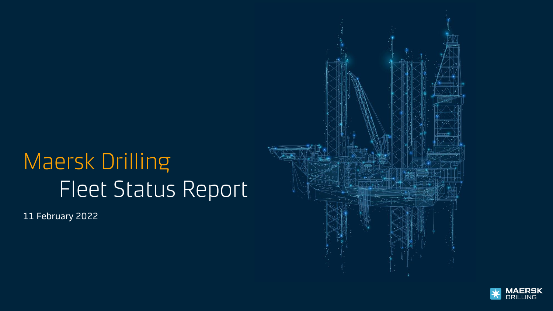# Maersk Drilling Fleet Status Report

11 February 2022



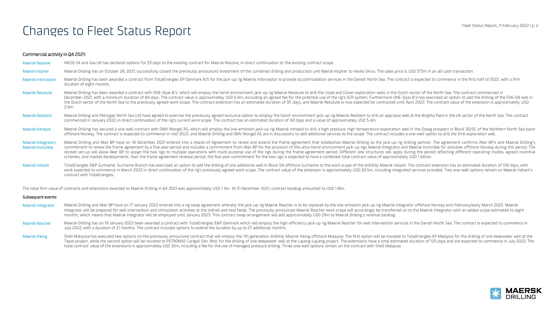### Changes to Fleet Status Report

#### Commercial activity in Q4 2021:

Maersk Resolve INEOS Oil and Gas UK has declared options for 33 days to the existing contract for Maersk Resolve, in direct continuation to the existing contract scope. Marsk Inspirer Maersk Drilling has on October 28, 2021, successfully closed the previously announced divestment of the combined drilling and production unit Maersk Inspirer to Havila Sirius. The sales price is USD 373m in Maersk Interceptor Maersk Drilling has been awarded a contract from TotalEnergies EP Danmark A/S for the jack-up rig Maersk Interceptor to provide accommodation services in the Danish North Sea. The contract is expected to duration of eight months. Maersk Resolute Maersk Drilling has been awarded a contract with ONE-Dyas B.V. which will employ the harsh environment jack-up rig Maersk Resolute to drill the IJssel and Clover exploration wells in the Dutch sector of the December 2021, with a minimum duration of 84 days. The contract value is approximately USD 6.9m, excluding an agreed fee for the potential use of the rig's SCR system. Furthermore ONE-Dyas B.V has exercised an option to ad the Dutch sector of the North Sea to the previously agreed work scope. The contract extension has an estimated duration of 35 days, and Maersk Resolute is now expected be contracted until April 2022. The contract value of 2.9m. Maersk Resilient Maersk Drilling and Petrogas North Sea Ltd have agreed to exercise the previously agreed exclusive option to employ the harsh-environment jack-up rig Maersk Resilient to drill an appraisal well at the Birg commenced in January 2022, in direct continuation of the rig's current work scope. The contract has an estimated duration of 60 days and a value of approximately USD 5.4m. Maersk Intrepid Maersk Drilling has secured a one-well contract with OMV (Norge) AS, which will employ the low-emission jack-up rig Maersk Intrepid to drill a high pressure, high temperature exploration well in the Oswig p offshore Norway. The contract is expected to commence in mid-2022, and Maersk Drilling and OMV (Norge) AS are in discussions to add additional services to the scope. The contract includes a one-well option to drill the Eir Maersk Integrator/ Maersk Drilling and Aker BP have on 18 December 2021 entered into a Heads of Agreement to renew and extend the frame agreement that establishes Maersk Drilling as the jack-up rig drilling partner. The ag Maersk Invincible commitment to renew the frame agreement by a five-year period and includes a commitment from Aker BP for the provision of the ultra-harsh environment jack-up rigs Maersk Integrator and Maersk Invincible f revised set-up will allow Aker BP to assign the two rigs to multiple operations with multi-purpose use of the rigs during the frame agreement period. Different rate structures will apply during the period reflecting differ schemes, and market developments. Over the frame agreement renewal period, the five-year commitment for the two rigs is expected to have a combined total contract value of approximately USD 1 billion. Maersk Valiant TotalEnergies E&P Suriname, Suriname Branch has exercised an option to add the drilling of one additional well in Block 58 offshore Suriname to the work scope of the drilliship Maersk Valiant. The contract e work expected to commence in March 2022 in direct continuation of the rig's previously agreed work scope. The contract value of the extension is approximately USD 20.5m, including integrated services provided. Two one-well contract with TotalEnergies.

The total firm value of contracts and extensions awarded to Maersk Drilling in Q4 2021 was approximately USD 1.1bn. At 31 December 2021, contract backlog amounted to USD 1.9bn.

#### Subsequent events:

- Maersk Integrator Maersk Drilling and Aker BP have on 17 January 2022 entered into a rig swap agreement whereby the jack-up rig Maersk Reacher is to be replaced by the low-emission jack-up rig Maersk Integrator offshore No Integrator will be prepared for well intervention and stimulation activities at the Valhall and Hod fields. The previously announced Maersk Reacher work scope will accordingly be transferred on to the Maersk Integrator wit months, which means that Maersk Integrator will be employed until January 2023. This contract swap arrangement will add approximately USD 29m to Maersk Drilling's revenue backlog.
- Maersk Reacher Maersk Drilling has on 19 January 2022 been awarded a contract with TotalEnergies E&P Danmark which will employ the high-efficiency jack-up rig Maersk Reacher for well intervention services in the Danish Nor July 2022, with a duration of 21 months. The contract includes options to extend the duration by up to 27 additional months.
- Maersk Viking Shell Malaysia has executed two options on the previously announced contract that will employ the 7th generation drillship Maersk Viking offshore Malaysia. The first option will be novated to TotalEnergies EP Tepat project, while the second option will be novated to PETRONAS Carigali Sdn. Bhd, for the drilling of one deepwater well at the Layang-Layang project. The extensions have a total estimated duration of 125 days and are total contract value of the extensions is approximately USD 32m, including a fee for the use of managed pressure drilling. Three one-well options remain on the contract with Shell Malaysia.

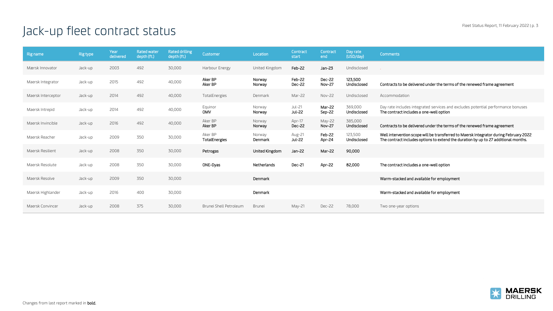## Jack-up fleet contract status

| Rig name           | <b>Rig type</b> | Year<br>delivered | <b>Rated water</b><br>depth (ft.) | <b>Rated drilling</b><br>depth (ft.) | Customer                 | Location          | Contract<br>start | Contract<br>end         | Day rate<br>(USD/day)  | <b>Comments</b>                                                                                                                                                              |
|--------------------|-----------------|-------------------|-----------------------------------|--------------------------------------|--------------------------|-------------------|-------------------|-------------------------|------------------------|------------------------------------------------------------------------------------------------------------------------------------------------------------------------------|
| Mærsk Innovator    | Jack-up         | 2003              | 492                               | 30,000                               | Harbour Energy           | United Kingdom    | Feb-22            | $Jan-23$                | Undisclosed            |                                                                                                                                                                              |
| Maersk Integrator  | Jack-up         | 2015              | 492                               | 40,000                               | Aker BP<br>Aker BP       | Norway<br>Norway  | Feb-22<br>Dec-22  | Dec-22<br><b>Nov-27</b> | 123,500<br>Undisclosed | Contracts to be delivered under the terms of the renewed frame agreement                                                                                                     |
| Maersk Interceptor | Jack-up         | 2014              | 492                               | 40,000                               | TotalEnergies            | Denmark           | Mar-22            | Nov-22                  | Undisclosed            | Accommodation                                                                                                                                                                |
| Maersk Intrepid    | Jack-up         | 2014              | 492                               | 40,000                               | Equinor<br><b>OMV</b>    | Norway<br>Norway  | Jul-21<br>Jul-22  | Mar-22<br>Sep-22        | 369,000<br>Undisclosed | Day rate includes integrated services and excludes potential performance bonuses<br>The contract includes a one-well option                                                  |
| Maersk Invincible  | Jack-up         | 2016              | 492                               | 40,000                               | Aker BP<br>Aker BP       | Norway<br>Norway  | Apr-17<br>Dec-22  | May-22<br><b>Nov-27</b> | 385,000<br>Undisclosed | Contracts to be delivered under the terms of the renewed frame agreement                                                                                                     |
| Maersk Reacher     | Jack-up         | 2009              | 350                               | 30,000                               | Aker BP<br>TotalEnergies | Norway<br>Denmark | Aug-21<br>Jul-22  | Feb-22<br>Apr-24        | 123.500<br>Undisclosed | Well intervention scope will be transferred to Maersk Integrator during February 2022<br>The contract includes options to extend the duration by up to 27 additional months. |
| Maersk Resilient   | Jack-up         | 2008              | 350                               | 30,000                               | Petrogas                 | United Kingdom    | $Jan-22$          | Mar-22                  | 90,000                 |                                                                                                                                                                              |
| Maersk Resolute    | Jack-up         | 2008              | 350                               | 30,000                               | ONE-Dyas                 | Netherlands       | Dec-21            | Apr-22                  | 82,000                 | The contract includes a one-well option                                                                                                                                      |
| Maersk Resolve     | Jack-up         | 2009              | 350                               | 30,000                               |                          | Denmark           |                   |                         |                        | Warm-stacked and available for employment                                                                                                                                    |
| Maersk Highlander  | Jack-up         | 2016              | 400                               | 30,000                               |                          | Denmark           |                   |                         |                        | Warm-stacked and available for employment                                                                                                                                    |
| Maersk Convincer   | Jack-up         | 2008              | 375                               | 30,000                               | Brunei Shell Petroleum   | Brunei            | May-21            | Dec-22                  | 78,000                 | Two one-year options                                                                                                                                                         |

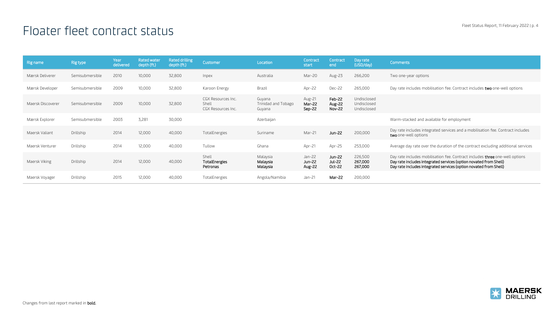### Floater fleet contract status

| Rig name          | Rig type        | Year<br>delivered | <b>Rated water</b><br>depth (ft.) | Rated drilling<br>depth (ft.) | Customer                                          | Location                                | Contract<br>start            | Contract<br>end                   | Day rate<br>(USD/day)                     | <b>Comments</b>                                                                                                                                                                                                        |
|-------------------|-----------------|-------------------|-----------------------------------|-------------------------------|---------------------------------------------------|-----------------------------------------|------------------------------|-----------------------------------|-------------------------------------------|------------------------------------------------------------------------------------------------------------------------------------------------------------------------------------------------------------------------|
| Mærsk Deliverer   | Semisubmersible | 2010              | 10,000                            | 32,800                        | Inpex                                             | Australia                               | Mar-20                       | Aug-23                            | 266,200                                   | Two one-year options                                                                                                                                                                                                   |
| Mærsk Developer   | Semisubmersible | 2009              | 10,000                            | 32,800                        | Karoon Energy                                     | Brazil                                  | Apr-22                       | Dec-22                            | 265,000                                   | Day rate includes mobilisation fee. Contract includes <b>two</b> one-well options                                                                                                                                      |
| Maersk Discoverer | Semisubmersible | 2009              | 10,000                            | 32,800                        | CGX Resources Inc.<br>Shell<br>CGX Resources Inc. | Guyana<br>Trinidad and Tobago<br>Guyana | Aug-21<br>Mar-22<br>Sep-22   | Feb-22<br>Aug-22<br><b>Nov-22</b> | Undisclosed<br>Undisclosed<br>Undisclosed |                                                                                                                                                                                                                        |
| Mærsk Explorer    | Semisubmersible | 2003              | 3,281                             | 30,000                        |                                                   | Azerbaijan                              |                              |                                   |                                           | Warm-stacked and available for employment                                                                                                                                                                              |
| Maersk Valiant    | Drillship       | 2014              | 12,000                            | 40,000                        | TotalEnergies                                     | Suriname                                | Mar-21                       | Jun-22                            | 200,000                                   | Day rate includes integrated services and a mobilisation fee. Contract includes<br>two one-well options                                                                                                                |
| Maersk Venturer   | Drillship       | 2014              | 12,000                            | 40,000                        | Tullow                                            | Ghana                                   | Apr-21                       | Apr-25                            | 253,000                                   | Average day rate over the duration of the contract excluding additional services                                                                                                                                       |
| Maersk Viking     | Drillship       | 2014              | 12,000                            | 40,000                        | Shell<br>TotalEnergies<br>Petronas                | Malaysia<br>Malaysia<br>Malaysia        | $Jan-22$<br>Jun-22<br>Aug-22 | Jun-22<br>Jul-22<br>Oct-22        | 226,500<br>267,000<br>267,000             | Day rate includes mobilisation fee. Contract includes three one-well options<br>Day rate includes integrated services (option novated from Shell)<br>Day rate includes integrated services (option novated from Shell) |
| Maersk Voyager    | Drillship       | 2015              | 12,000                            | 40,000                        | TotalEnergies                                     | Angola/Namibia                          | Jan-21                       | Mar-22                            | 200,000                                   |                                                                                                                                                                                                                        |

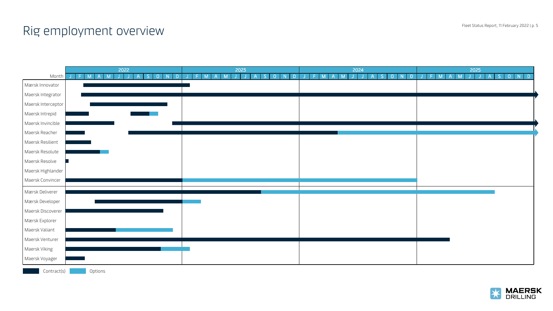### Rig employment overview